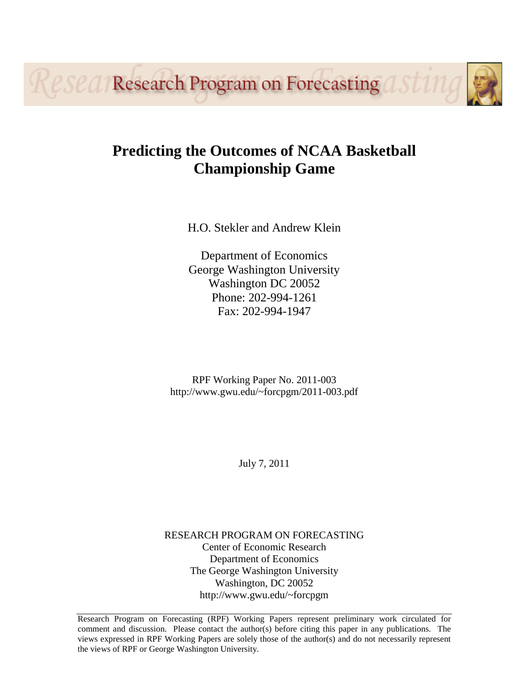**Research Program on Forecasting OF** 

# **Predicting the Outcomes of NCAA Basketball Championship Game**

H.O. Stekler and Andrew Klein

Department of Economics George Washington University Washington DC 20052 Phone: 202-994-1261 Fax: 202-994-1947

RPF Working Paper No. 2011-003 http://www.gwu.edu/~forcpgm/2011-003.pdf

July 7, 2011

RESEARCH PROGRAM ON FORECASTING Center of Economic Research Department of Economics The George Washington University Washington, DC 20052 http://www.gwu.edu/~forcpgm

Research Program on Forecasting (RPF) Working Papers represent preliminary work circulated for comment and discussion. Please contact the author(s) before citing this paper in any publications. The views expressed in RPF Working Papers are solely those of the author(s) and do not necessarily represent the views of RPF or George Washington University.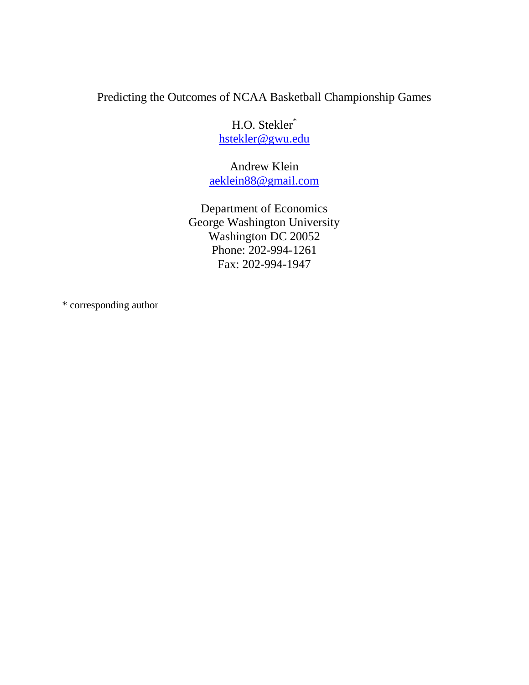## Predicting the Outcomes of NCAA Basketball Championship Games

H.O. Stekler\* [hstekler@gwu.edu](mailto:hstekler@gwu.edu)

Andrew Klein [aeklein88@gmail.com](mailto:Aeklein88@gmail.com)

Department of Economics George Washington University Washington DC 20052 Phone: 202-994-1261 Fax: 202-994-1947

\* corresponding author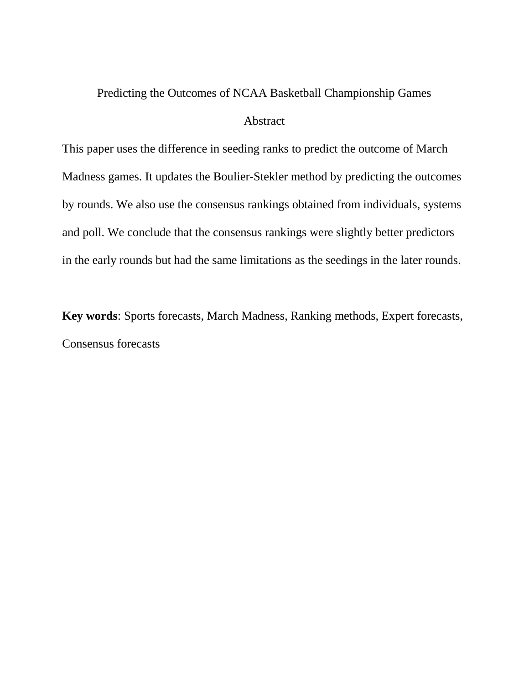## Predicting the Outcomes of NCAA Basketball Championship Games

## Abstract

This paper uses the difference in seeding ranks to predict the outcome of March Madness games. It updates the Boulier-Stekler method by predicting the outcomes by rounds. We also use the consensus rankings obtained from individuals, systems and poll. We conclude that the consensus rankings were slightly better predictors in the early rounds but had the same limitations as the seedings in the later rounds.

**Key words**: Sports forecasts, March Madness, Ranking methods, Expert forecasts, Consensus forecasts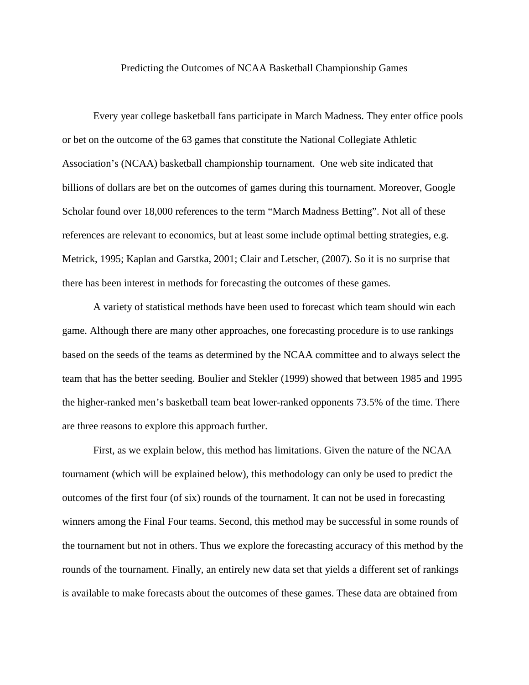#### Predicting the Outcomes of NCAA Basketball Championship Games

Every year college basketball fans participate in March Madness. They enter office pools or bet on the outcome of the 63 games that constitute the National Collegiate Athletic Association's (NCAA) basketball championship tournament. One web site indicated that billions of dollars are bet on the outcomes of games during this tournament. Moreover, Google Scholar found over 18,000 references to the term "March Madness Betting". Not all of these references are relevant to economics, but at least some include optimal betting strategies, e.g. Metrick, 1995; Kaplan and Garstka, 2001; Clair and Letscher, (2007). So it is no surprise that there has been interest in methods for forecasting the outcomes of these games.

A variety of statistical methods have been used to forecast which team should win each game. Although there are many other approaches, one forecasting procedure is to use rankings based on the seeds of the teams as determined by the NCAA committee and to always select the team that has the better seeding. Boulier and Stekler (1999) showed that between 1985 and 1995 the higher-ranked men's basketball team beat lower-ranked opponents 73.5% of the time. There are three reasons to explore this approach further.

First, as we explain below, this method has limitations. Given the nature of the NCAA tournament (which will be explained below), this methodology can only be used to predict the outcomes of the first four (of six) rounds of the tournament. It can not be used in forecasting winners among the Final Four teams. Second, this method may be successful in some rounds of the tournament but not in others. Thus we explore the forecasting accuracy of this method by the rounds of the tournament. Finally, an entirely new data set that yields a different set of rankings is available to make forecasts about the outcomes of these games. These data are obtained from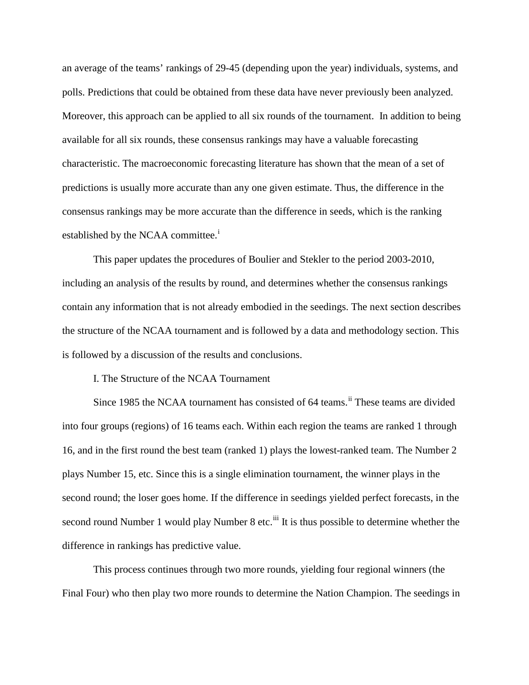an average of the teams' rankings of 29-45 (depending upon the year) individuals, systems, and polls. Predictions that could be obtained from these data have never previously been analyzed. Moreover, this approach can be applied to all six rounds of the tournament. In addition to being available for all six rounds, these consensus rankings may have a valuable forecasting characteristic. The macroeconomic forecasting literature has shown that the mean of a set of predictions is usually more accurate than any one given estimate. Thus, the difference in the consensus rankings may be more accurate than the difference in seeds, which is the ranking establ[i](#page-13-0)shed by the NCAA committee.<sup>1</sup>

This paper updates the procedures of Boulier and Stekler to the period 2003-2010, including an analysis of the results by round, and determines whether the consensus rankings contain any information that is not already embodied in the seedings. The next section describes the structure of the NCAA tournament and is followed by a data and methodology section. This is followed by a discussion of the results and conclusions.

I. The Structure of the NCAA Tournament

Since 1985 the NCAA tournament has consisted of 64 teams.<sup>[ii](#page-13-1)</sup> These teams are divided into four groups (regions) of 16 teams each. Within each region the teams are ranked 1 through 16, and in the first round the best team (ranked 1) plays the lowest-ranked team. The Number 2 plays Number 15, etc. Since this is a single elimination tournament, the winner plays in the second round; the loser goes home. If the difference in seedings yielded perfect forecasts, in the second round Number 1 would play Number 8 etc.<sup>[iii](#page-13-2)</sup> It is thus possible to determine whether the difference in rankings has predictive value.

This process continues through two more rounds, yielding four regional winners (the Final Four) who then play two more rounds to determine the Nation Champion. The seedings in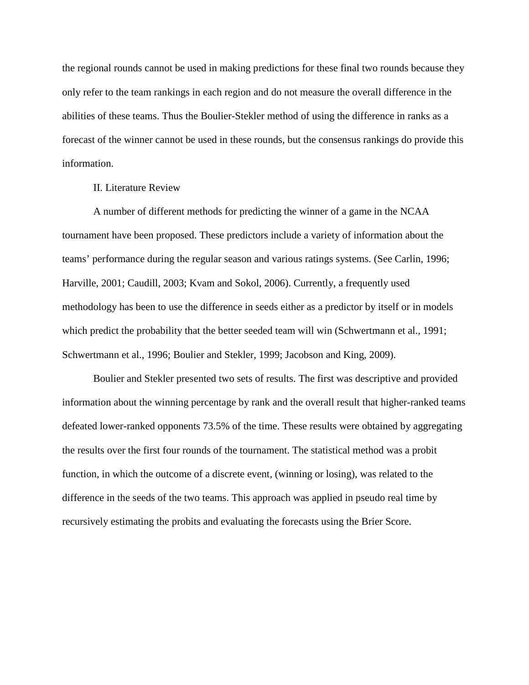the regional rounds cannot be used in making predictions for these final two rounds because they only refer to the team rankings in each region and do not measure the overall difference in the abilities of these teams. Thus the Boulier-Stekler method of using the difference in ranks as a forecast of the winner cannot be used in these rounds, but the consensus rankings do provide this information.

### II. Literature Review

A number of different methods for predicting the winner of a game in the NCAA tournament have been proposed. These predictors include a variety of information about the teams' performance during the regular season and various ratings systems. (See Carlin, 1996; Harville, 2001; Caudill, 2003; Kvam and Sokol, 2006). Currently, a frequently used methodology has been to use the difference in seeds either as a predictor by itself or in models which predict the probability that the better seeded team will win (Schwertmann et al., 1991; Schwertmann et al., 1996; Boulier and Stekler, 1999; Jacobson and King, 2009).

Boulier and Stekler presented two sets of results. The first was descriptive and provided information about the winning percentage by rank and the overall result that higher-ranked teams defeated lower-ranked opponents 73.5% of the time. These results were obtained by aggregating the results over the first four rounds of the tournament. The statistical method was a probit function, in which the outcome of a discrete event, (winning or losing), was related to the difference in the seeds of the two teams. This approach was applied in pseudo real time by recursively estimating the probits and evaluating the forecasts using the Brier Score.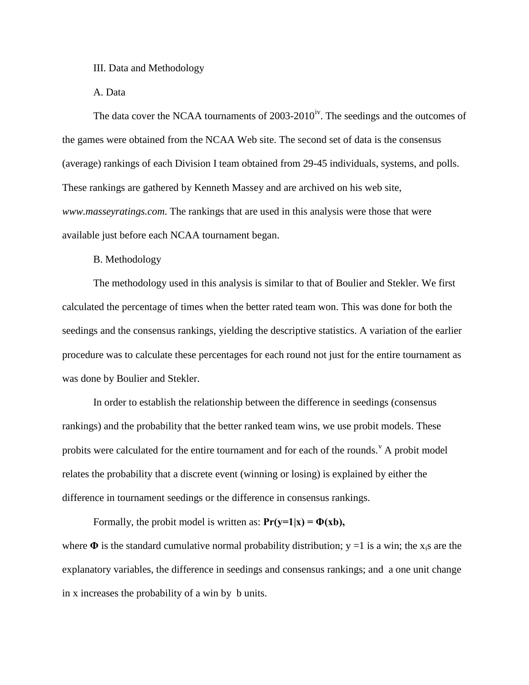III. Data and Methodology

A. Data

The data cover the NCAA tournaments of  $2003-2010^{iv}$ . The seedings and the outcomes of the games were obtained from the NCAA Web site. The second set of data is the consensus (average) rankings of each Division I team obtained from 29-45 individuals, systems, and polls. These rankings are gathered by Kenneth Massey and are archived on his web site, *www.masseyratings.com*. The rankings that are used in this analysis were those that were available just before each NCAA tournament began.

B. Methodology

The methodology used in this analysis is similar to that of Boulier and Stekler. We first calculated the percentage of times when the better rated team won. This was done for both the seedings and the consensus rankings, yielding the descriptive statistics. A variation of the earlier procedure was to calculate these percentages for each round not just for the entire tournament as was done by Boulier and Stekler.

In order to establish the relationship between the difference in seedings (consensus rankings) and the probability that the better ranked team wins, we use probit models. These probits were calculated for the entire tournament and for each of the rounds.<sup> $v$ </sup> A probit model relates the probability that a discrete event (winning or losing) is explained by either the difference in tournament seedings or the difference in consensus rankings.

Formally, the probit model is written as:  $Pr(y=1|x) = \Phi(xb)$ , where  $\Phi$  is the standard cumulative normal probability distribution;  $y = 1$  is a win; the x<sub>i</sub>s are the explanatory variables, the difference in seedings and consensus rankings; and a one unit change in x increases the probability of a win by b units.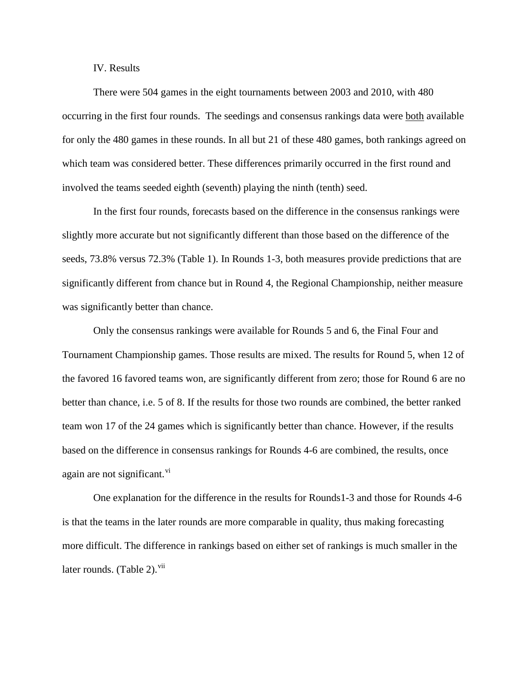### IV. Results

There were 504 games in the eight tournaments between 2003 and 2010, with 480 occurring in the first four rounds. The seedings and consensus rankings data were both available for only the 480 games in these rounds. In all but 21 of these 480 games, both rankings agreed on which team was considered better. These differences primarily occurred in the first round and involved the teams seeded eighth (seventh) playing the ninth (tenth) seed.

In the first four rounds, forecasts based on the difference in the consensus rankings were slightly more accurate but not significantly different than those based on the difference of the seeds, 73.8% versus 72.3% (Table 1). In Rounds 1-3, both measures provide predictions that are significantly different from chance but in Round 4, the Regional Championship, neither measure was significantly better than chance.

Only the consensus rankings were available for Rounds 5 and 6, the Final Four and Tournament Championship games. Those results are mixed. The results for Round 5, when 12 of the favored 16 favored teams won, are significantly different from zero; those for Round 6 are no better than chance, i.e. 5 of 8. If the results for those two rounds are combined, the better ranked team won 17 of the 24 games which is significantly better than chance. However, if the results based on the difference in consensus rankings for Rounds 4-6 are combined, the results, once again are not significant. $\overline{v}$ 

One explanation for the difference in the results for Rounds1-3 and those for Rounds 4-6 is that the teams in the later rounds are more comparable in quality, thus making forecasting more difficult. The difference in rankings based on either set of rankings is much smaller in the later rounds. (Table 2). $vii$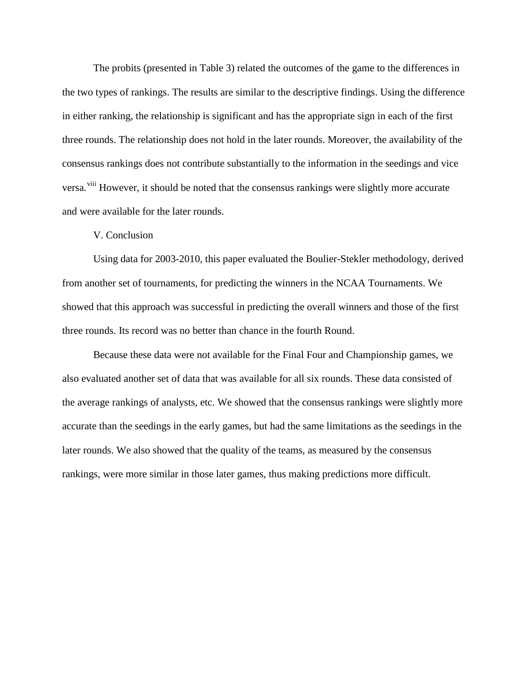The probits (presented in Table 3) related the outcomes of the game to the differences in the two types of rankings. The results are similar to the descriptive findings. Using the difference in either ranking, the relationship is significant and has the appropriate sign in each of the first three rounds. The relationship does not hold in the later rounds. Moreover, the availability of the consensus rankings does not contribute substantially to the information in the seedings and vice versa.<sup>[viii](#page-13-7)</sup> However, it should be noted that the consensus rankings were slightly more accurate and were available for the later rounds.

### V. Conclusion

Using data for 2003-2010, this paper evaluated the Boulier-Stekler methodology, derived from another set of tournaments, for predicting the winners in the NCAA Tournaments. We showed that this approach was successful in predicting the overall winners and those of the first three rounds. Its record was no better than chance in the fourth Round.

Because these data were not available for the Final Four and Championship games, we also evaluated another set of data that was available for all six rounds. These data consisted of the average rankings of analysts, etc. We showed that the consensus rankings were slightly more accurate than the seedings in the early games, but had the same limitations as the seedings in the later rounds. We also showed that the quality of the teams, as measured by the consensus rankings, were more similar in those later games, thus making predictions more difficult.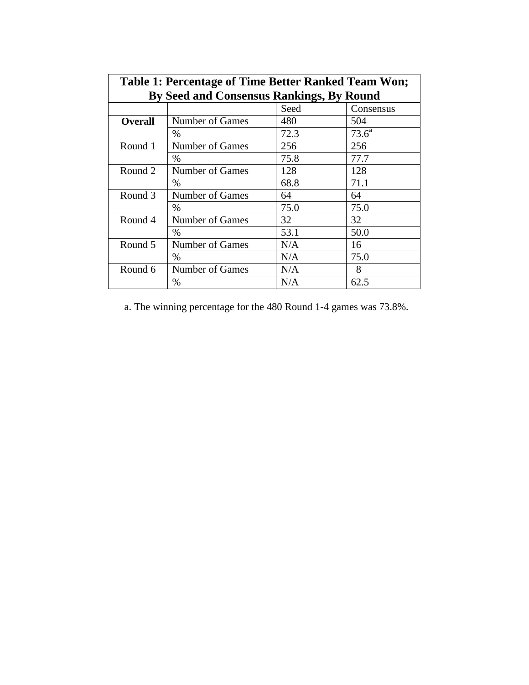| Table 1: Percentage of Time Better Ranked Team Won; |                 |      |           |  |  |  |  |  |
|-----------------------------------------------------|-----------------|------|-----------|--|--|--|--|--|
| By Seed and Consensus Rankings, By Round            |                 |      |           |  |  |  |  |  |
|                                                     |                 | Seed | Consensus |  |  |  |  |  |
| <b>Overall</b>                                      | Number of Games | 480  | 504       |  |  |  |  |  |
|                                                     | $\%$            | 72.3 | $73.6^a$  |  |  |  |  |  |
| Round 1                                             | Number of Games | 256  | 256       |  |  |  |  |  |
|                                                     | $\%$            | 75.8 | 77.7      |  |  |  |  |  |
| Round 2                                             | Number of Games | 128  | 128       |  |  |  |  |  |
|                                                     | $\%$            | 68.8 | 71.1      |  |  |  |  |  |
| Round 3                                             | Number of Games | 64   | 64        |  |  |  |  |  |
|                                                     | $\%$            | 75.0 | 75.0      |  |  |  |  |  |
| Round 4                                             | Number of Games | 32   | 32        |  |  |  |  |  |
|                                                     | $\%$            | 53.1 | 50.0      |  |  |  |  |  |
| Round 5                                             | Number of Games | N/A  | 16        |  |  |  |  |  |
|                                                     | $\%$            | N/A  | 75.0      |  |  |  |  |  |
| Round 6                                             | Number of Games | N/A  | 8         |  |  |  |  |  |
|                                                     | %               | N/A  | 62.5      |  |  |  |  |  |

a. The winning percentage for the 480 Round 1-4 games was 73.8%.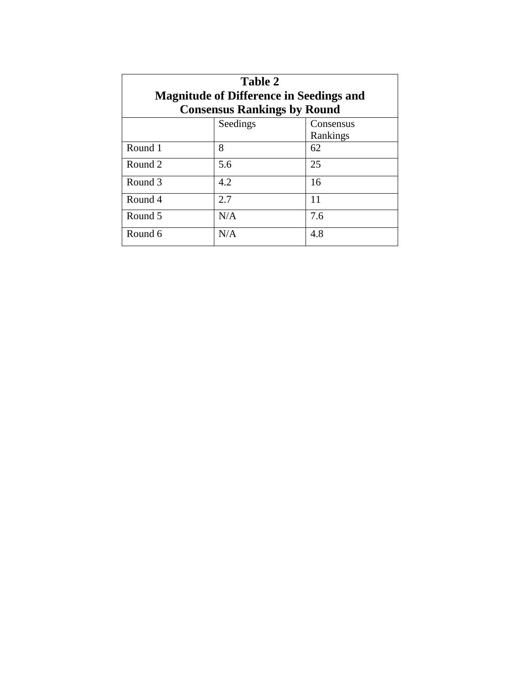| Table 2<br><b>Magnitude of Difference in Seedings and</b><br><b>Consensus Rankings by Round</b> |          |           |  |  |  |  |
|-------------------------------------------------------------------------------------------------|----------|-----------|--|--|--|--|
|                                                                                                 | Seedings | Consensus |  |  |  |  |
|                                                                                                 |          | Rankings  |  |  |  |  |
| Round 1                                                                                         | 8        | 62        |  |  |  |  |
| Round 2                                                                                         | 5.6      | 25        |  |  |  |  |
| Round 3                                                                                         | 4.2      | 16        |  |  |  |  |
| Round 4                                                                                         | 2.7      | 11        |  |  |  |  |
| Round 5                                                                                         | N/A      | 7.6       |  |  |  |  |
| Round 6                                                                                         | N/A      | 4.8       |  |  |  |  |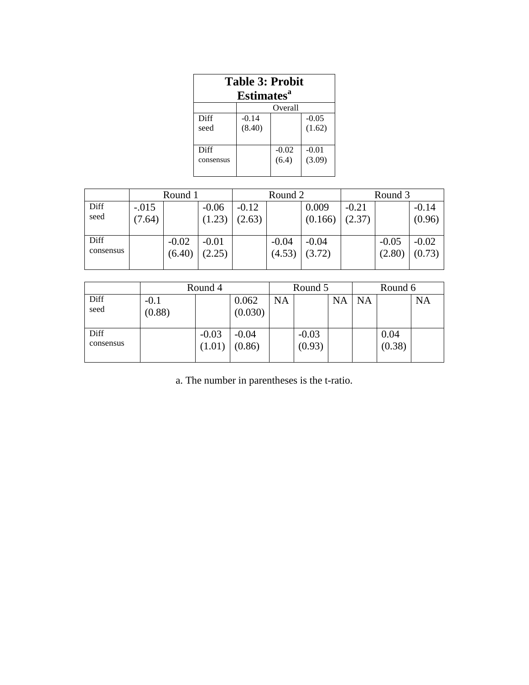| <b>Table 3: Probit</b><br>Estimates <sup>a</sup> |         |                  |                   |  |  |  |  |
|--------------------------------------------------|---------|------------------|-------------------|--|--|--|--|
| Overall                                          |         |                  |                   |  |  |  |  |
| Diff                                             | $-0.14$ |                  | $-0.05$           |  |  |  |  |
| seed                                             | (8.40)  |                  | (1.62)            |  |  |  |  |
| Diff<br>consensus                                |         | $-0.02$<br>(6.4) | $-0.01$<br>(3.09) |  |  |  |  |

|           | Round 1 |         |         | Round 2 |         |         | Round 3 |         |         |  |
|-----------|---------|---------|---------|---------|---------|---------|---------|---------|---------|--|
| Diff      | $-.015$ |         | $-0.06$ | $-0.12$ |         | 0.009   | $-0.21$ |         | $-0.14$ |  |
| seed      | 7.64)   |         | (1.23)  | (2.63)  |         | (0.166) | (2.37)  |         | (0.96)  |  |
|           |         |         |         |         |         |         |         |         |         |  |
| Diff      |         | $-0.02$ | $-0.01$ |         | $-0.04$ | $-0.04$ |         | $-0.05$ | $-0.02$ |  |
| consensus |         | (6.40)  | (2.25)  |         | (4.53)  | (3.72)  |         | (2.80)  | (0.73)  |  |
|           |         |         |         |         |         |         |         |         |         |  |

|                   | Round 4          |                   |                   | Round 5   |                   |           | Round 6   |                |           |
|-------------------|------------------|-------------------|-------------------|-----------|-------------------|-----------|-----------|----------------|-----------|
| Diff<br>seed      | $-0.1$<br>(0.88) |                   | 0.062<br>(0.030)  | <b>NA</b> |                   | <b>NA</b> | <b>NA</b> |                | <b>NA</b> |
| Diff<br>consensus |                  | $-0.03$<br>(1.01) | $-0.04$<br>(0.86) |           | $-0.03$<br>(0.93) |           |           | 0.04<br>(0.38) |           |

a. The number in parentheses is the t-ratio.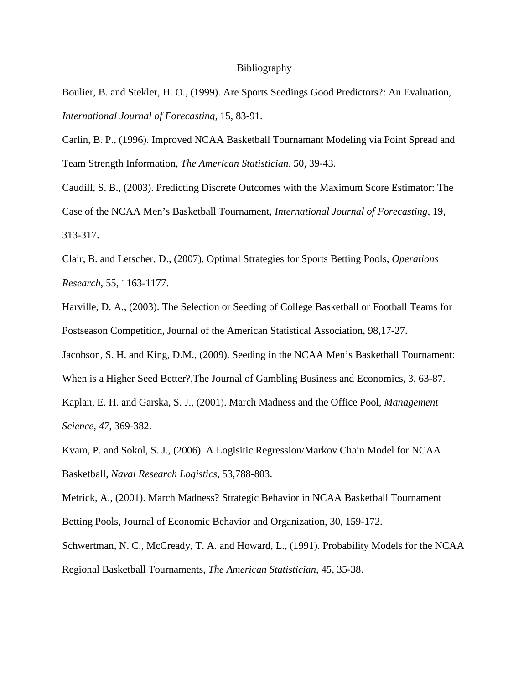#### Bibliography

Boulier, B. and Stekler, H. O., (1999). Are Sports Seedings Good Predictors?: An Evaluation, *International Journal of Forecasting*, 15, 83-91.

Carlin, B. P., (1996). Improved NCAA Basketball Tournamant Modeling via Point Spread and Team Strength Information, *The American Statistician*, 50, 39-43.

Caudill, S. B., (2003). Predicting Discrete Outcomes with the Maximum Score Estimator: The Case of the NCAA Men's Basketball Tournament, *International Journal of Forecasting*, 19, 313-317.

Clair, B. and Letscher, D., (2007). Optimal Strategies for Sports Betting Pools, *Operations Research*, 55, 1163-1177.

Harville, D. A., (2003). The Selection or Seeding of College Basketball or Football Teams for Postseason Competition, Journal of the American Statistical Association, 98,17-27.

Jacobson, S. H. and King, D.M., (2009). Seeding in the NCAA Men's Basketball Tournament:

When is a Higher Seed Better?,The Journal of Gambling Business and Economics, 3, 63-87.

Kaplan, E. H. and Garska, S. J., (2001). March Madness and the Office Pool, *Management Science, 47*, 369-382.

Kvam, P. and Sokol, S. J., (2006). A Logisitic Regression/Markov Chain Model for NCAA Basketball, *Naval Research Logistics*, 53,788-803.

Metrick, A., (2001). March Madness? Strategic Behavior in NCAA Basketball Tournament Betting Pools, Journal of Economic Behavior and Organization, 30, 159-172.

Schwertman, N. C., McCready, T. A. and Howard, L., (1991). Probability Models for the NCAA Regional Basketball Tournaments, *The American Statistician*, 45, 35-38.